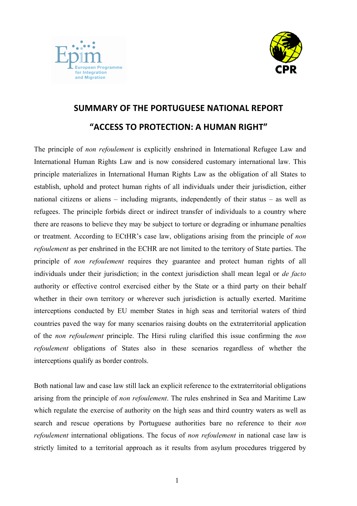



## **SUMMARY OF'THE'PORTUGUESE'NATIONAL'REPORT "ACCESS TO PROTECTION: A HUMAN RIGHT"**

The principle of *non refoulement* is explicitly enshrined in International Refugee Law and International Human Rights Law and is now considered customary international law. This principle materializes in International Human Rights Law as the obligation of all States to establish, uphold and protect human rights of all individuals under their jurisdiction, either national citizens or aliens – including migrants, independently of their status – as well as refugees. The principle forbids direct or indirect transfer of individuals to a country where there are reasons to believe they may be subject to torture or degrading or inhumane penalties or treatment. According to ECtHR's case law, obligations arising from the principle of *non refoulement* as per enshrined in the ECHR are not limited to the territory of State parties. The principle of *non refoulement* requires they guarantee and protect human rights of all individuals under their jurisdiction; in the context jurisdiction shall mean legal or *de facto* authority or effective control exercised either by the State or a third party on their behalf whether in their own territory or wherever such jurisdiction is actually exerted. Maritime interceptions conducted by EU member States in high seas and territorial waters of third countries paved the way for many scenarios raising doubts on the extraterritorial application of the *non refoulement* principle. The Hirsi ruling clarified this issue confirming the *non refoulement* obligations of States also in these scenarios regardless of whether the interceptions qualify as border controls.

Both national law and case law still lack an explicit reference to the extraterritorial obligations arising from the principle of *non refoulement*. The rules enshrined in Sea and Maritime Law which regulate the exercise of authority on the high seas and third country waters as well as search and rescue operations by Portuguese authorities bare no reference to their *non refoulement* international obligations. The focus of *non refoulement* in national case law is strictly limited to a territorial approach as it results from asylum procedures triggered by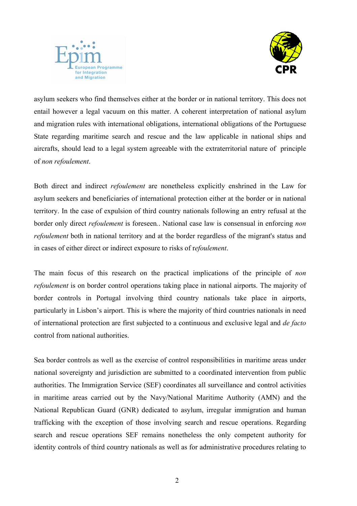



asylum seekers who find themselves either at the border or in national territory. This does not entail however a legal vacuum on this matter. A coherent interpretation of national asylum and migration rules with international obligations, international obligations of the Portuguese State regarding maritime search and rescue and the law applicable in national ships and aircrafts, should lead to a legal system agreeable with the extraterritorial nature of principle of *non refoulement*.

Both direct and indirect *refoulement* are nonetheless explicitly enshrined in the Law for asylum seekers and beneficiaries of international protection either at the border or in national territory. In the case of expulsion of third country nationals following an entry refusal at the border only direct *refoulement* is foreseen*.*. National case law is consensual in enforcing *non refoulement* both in national territory and at the border regardless of the migrant's status and in cases of either direct or indirect exposure to risks of r*efoulement*.

The main focus of this research on the practical implications of the principle of *non refoulement* is on border control operations taking place in national airports. The majority of border controls in Portugal involving third country nationals take place in airports, particularly in Lisbon's airport. This is where the majority of third countries nationals in need of international protection are first subjected to a continuous and exclusive legal and *de facto* control from national authorities.

Sea border controls as well as the exercise of control responsibilities in maritime areas under national sovereignty and jurisdiction are submitted to a coordinated intervention from public authorities. The Immigration Service (SEF) coordinates all surveillance and control activities in maritime areas carried out by the Navy/National Maritime Authority (AMN) and the National Republican Guard (GNR) dedicated to asylum, irregular immigration and human trafficking with the exception of those involving search and rescue operations. Regarding search and rescue operations SEF remains nonetheless the only competent authority for identity controls of third country nationals as well as for administrative procedures relating to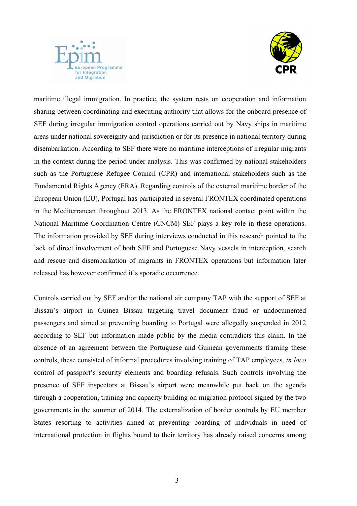



maritime illegal immigration. In practice, the system rests on cooperation and information sharing between coordinating and executing authority that allows for the onboard presence of SEF during irregular immigration control operations carried out by Navy ships in maritime areas under national sovereignty and jurisdiction or for its presence in national territory during disembarkation. According to SEF there were no maritime interceptions of irregular migrants in the context during the period under analysis. This was confirmed by national stakeholders such as the Portuguese Refugee Council (CPR) and international stakeholders such as the Fundamental Rights Agency (FRA). Regarding controls of the external maritime border of the European Union (EU), Portugal has participated in several FRONTEX coordinated operations in the Mediterranean throughout 2013. As the FRONTEX national contact point within the National Maritime Coordination Centre (CNCM) SEF plays a key role in these operations. The information provided by SEF during interviews conducted in this research pointed to the lack of direct involvement of both SEF and Portuguese Navy vessels in interception, search and rescue and disembarkation of migrants in FRONTEX operations but information later released has however confirmed it's sporadic occurrence.

Controls carried out by SEF and/or the national air company TAP with the support of SEF at Bissau's airport in Guinea Bissau targeting travel document fraud or undocumented passengers and aimed at preventing boarding to Portugal were allegedly suspended in 2012 according to SEF but information made public by the media contradicts this claim. In the absence of an agreement between the Portuguese and Guinean governments framing these controls, these consisted of informal procedures involving training of TAP employees, *in loco* control of passport's security elements and boarding refusals. Such controls involving the presence of SEF inspectors at Bissau's airport were meanwhile put back on the agenda through a cooperation, training and capacity building on migration protocol signed by the two governments in the summer of 2014. The externalization of border controls by EU member States resorting to activities aimed at preventing boarding of individuals in need of international protection in flights bound to their territory has already raised concerns among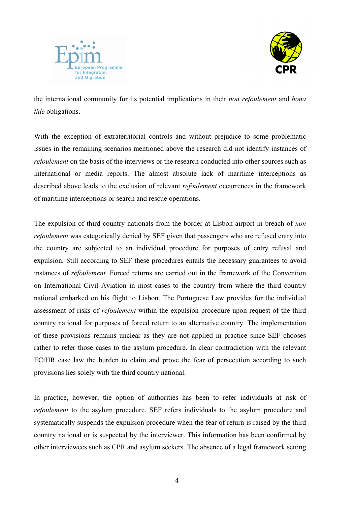



the international community for its potential implications in their *non refoulement* and *bona fide* obligations.

With the exception of extraterritorial controls and without prejudice to some problematic issues in the remaining scenarios mentioned above the research did not identify instances of *refoulement* on the basis of the interviews or the research conducted into other sources such as international or media reports. The almost absolute lack of maritime interceptions as described above leads to the exclusion of relevant *refoulement* occurrences in the framework of maritime interceptions or search and rescue operations.

The expulsion of third country nationals from the border at Lisbon airport in breach of *non refoulement* was categorically denied by SEF given that passengers who are refused entry into the country are subjected to an individual procedure for purposes of entry refusal and expulsion. Still according to SEF these procedures entails the necessary guarantees to avoid instances of *refoulement.* Forced returns are carried out in the framework of the Convention on International Civil Aviation in most cases to the country from where the third country national embarked on his flight to Lisbon. The Portuguese Law provides for the individual assessment of risks of *refoulement* within the expulsion procedure upon request of the third country national for purposes of forced return to an alternative country. The implementation of these provisions remains unclear as they are not applied in practice since SEF chooses rather to refer those cases to the asylum procedure. In clear contradiction with the relevant ECtHR case law the burden to claim and prove the fear of persecution according to such provisions lies solely with the third country national.

In practice, however, the option of authorities has been to refer individuals at risk of *refoulement* to the asylum procedure. SEF refers individuals to the asylum procedure and systematically suspends the expulsion procedure when the fear of return is raised by the third country national or is suspected by the interviewer. This information has been confirmed by other interviewees such as CPR and asylum seekers. The absence of a legal framework setting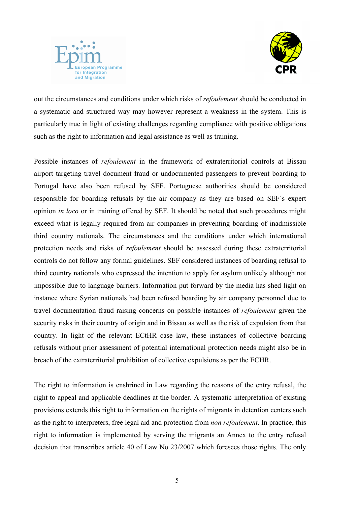



out the circumstances and conditions under which risks of *refoulement* should be conducted in a systematic and structured way may however represent a weakness in the system. This is particularly true in light of existing challenges regarding compliance with positive obligations such as the right to information and legal assistance as well as training.

Possible instances of *refoulement* in the framework of extraterritorial controls at Bissau airport targeting travel document fraud or undocumented passengers to prevent boarding to Portugal have also been refused by SEF. Portuguese authorities should be considered responsible for boarding refusals by the air company as they are based on SEF´s expert opinion *in loco* or in training offered by SEF. It should be noted that such procedures might exceed what is legally required from air companies in preventing boarding of inadmissible third country nationals. The circumstances and the conditions under which international protection needs and risks of *refoulement* should be assessed during these extraterritorial controls do not follow any formal guidelines. SEF considered instances of boarding refusal to third country nationals who expressed the intention to apply for asylum unlikely although not impossible due to language barriers. Information put forward by the media has shed light on instance where Syrian nationals had been refused boarding by air company personnel due to travel documentation fraud raising concerns on possible instances of *refoulement* given the security risks in their country of origin and in Bissau as well as the risk of expulsion from that country. In light of the relevant ECtHR case law, these instances of collective boarding refusals without prior assessment of potential international protection needs might also be in breach of the extraterritorial prohibition of collective expulsions as per the ECHR.

The right to information is enshrined in Law regarding the reasons of the entry refusal, the right to appeal and applicable deadlines at the border. A systematic interpretation of existing provisions extends this right to information on the rights of migrants in detention centers such as the right to interpreters, free legal aid and protection from *non refoulement*. In practice, this right to information is implemented by serving the migrants an Annex to the entry refusal decision that transcribes article 40 of Law No 23/2007 which foresees those rights. The only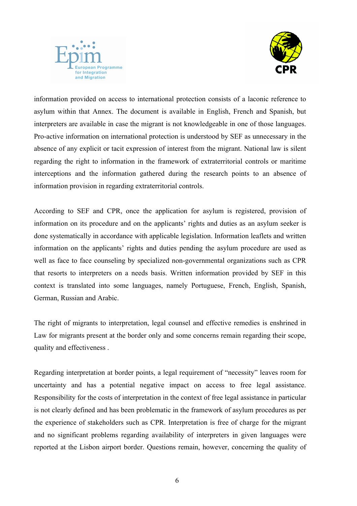



information provided on access to international protection consists of a laconic reference to asylum within that Annex. The document is available in English, French and Spanish, but interpreters are available in case the migrant is not knowledgeable in one of those languages. Pro-active information on international protection is understood by SEF as unnecessary in the absence of any explicit or tacit expression of interest from the migrant. National law is silent regarding the right to information in the framework of extraterritorial controls or maritime interceptions and the information gathered during the research points to an absence of information provision in regarding extraterritorial controls.

According to SEF and CPR, once the application for asylum is registered, provision of information on its procedure and on the applicants' rights and duties as an asylum seeker is done systematically in accordance with applicable legislation. Information leaflets and written information on the applicants' rights and duties pending the asylum procedure are used as well as face to face counseling by specialized non-governmental organizations such as CPR that resorts to interpreters on a needs basis. Written information provided by SEF in this context is translated into some languages, namely Portuguese, French, English, Spanish, German, Russian and Arabic.

The right of migrants to interpretation, legal counsel and effective remedies is enshrined in Law for migrants present at the border only and some concerns remain regarding their scope, quality and effectiveness .

Regarding interpretation at border points, a legal requirement of "necessity" leaves room for uncertainty and has a potential negative impact on access to free legal assistance. Responsibility for the costs of interpretation in the context of free legal assistance in particular is not clearly defined and has been problematic in the framework of asylum procedures as per the experience of stakeholders such as CPR. Interpretation is free of charge for the migrant and no significant problems regarding availability of interpreters in given languages were reported at the Lisbon airport border. Questions remain, however, concerning the quality of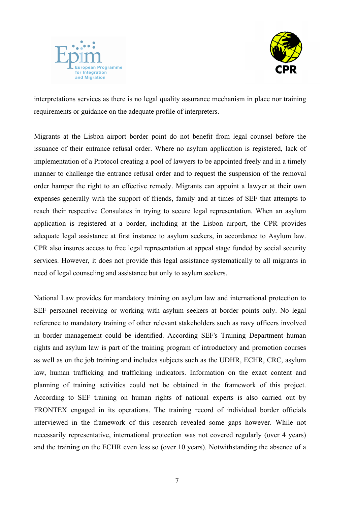



interpretations services as there is no legal quality assurance mechanism in place nor training requirements or guidance on the adequate profile of interpreters.

Migrants at the Lisbon airport border point do not benefit from legal counsel before the issuance of their entrance refusal order. Where no asylum application is registered, lack of implementation of a Protocol creating a pool of lawyers to be appointed freely and in a timely manner to challenge the entrance refusal order and to request the suspension of the removal order hamper the right to an effective remedy. Migrants can appoint a lawyer at their own expenses generally with the support of friends, family and at times of SEF that attempts to reach their respective Consulates in trying to secure legal representation. When an asylum application is registered at a border, including at the Lisbon airport, the CPR provides adequate legal assistance at first instance to asylum seekers, in accordance to Asylum law. CPR also insures access to free legal representation at appeal stage funded by social security services. However, it does not provide this legal assistance systematically to all migrants in need of legal counseling and assistance but only to asylum seekers.

National Law provides for mandatory training on asylum law and international protection to SEF personnel receiving or working with asylum seekers at border points only. No legal reference to mandatory training of other relevant stakeholders such as navy officers involved in border management could be identified. According SEF's Training Department human rights and asylum law is part of the training program of introductory and promotion courses as well as on the job training and includes subjects such as the UDHR, ECHR, CRC, asylum law, human trafficking and trafficking indicators. Information on the exact content and planning of training activities could not be obtained in the framework of this project. According to SEF training on human rights of national experts is also carried out by FRONTEX engaged in its operations. The training record of individual border officials interviewed in the framework of this research revealed some gaps however. While not necessarily representative, international protection was not covered regularly (over 4 years) and the training on the ECHR even less so (over 10 years). Notwithstanding the absence of a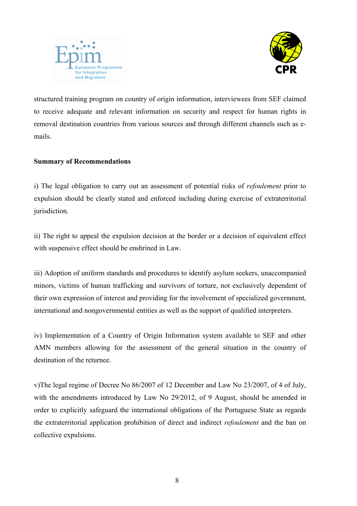



structured training program on country of origin information, interviewees from SEF claimed to receive adequate and relevant information on security and respect for human rights in removal destination countries from various sources and through different channels such as emails.

## Summary of Recommendations

i) The legal obligation to carry out an assessment of potential risks of *refoulement* prior to expulsion should be clearly stated and enforced including during exercise of extraterritorial jurisdiction.

ii) The right to appeal the expulsion decision at the border or a decision of equivalent effect with suspensive effect should be enshrined in Law.

iii) Adoption of uniform standards and procedures to identify asylum seekers, unaccompanied minors, victims of human trafficking and survivors of torture, not exclusively dependent of their own expression of interest and providing for the involvement of specialized government, international and nongovernmental entities as well as the support of qualified interpreters.

iv) Implementation of a Country of Origin Information system available to SEF and other AMN members allowing for the assessment of the general situation in the country of destination of the returnee.

v)The legal regime of Decree No 86/2007 of 12 December and Law No 23/2007, of 4 of July, with the amendments introduced by Law No 29/2012, of 9 August, should be amended in order to explicitly safeguard the international obligations of the Portuguese State as regards the extraterritorial application prohibition of direct and indirect *refoulement* and the ban on collective expulsions.